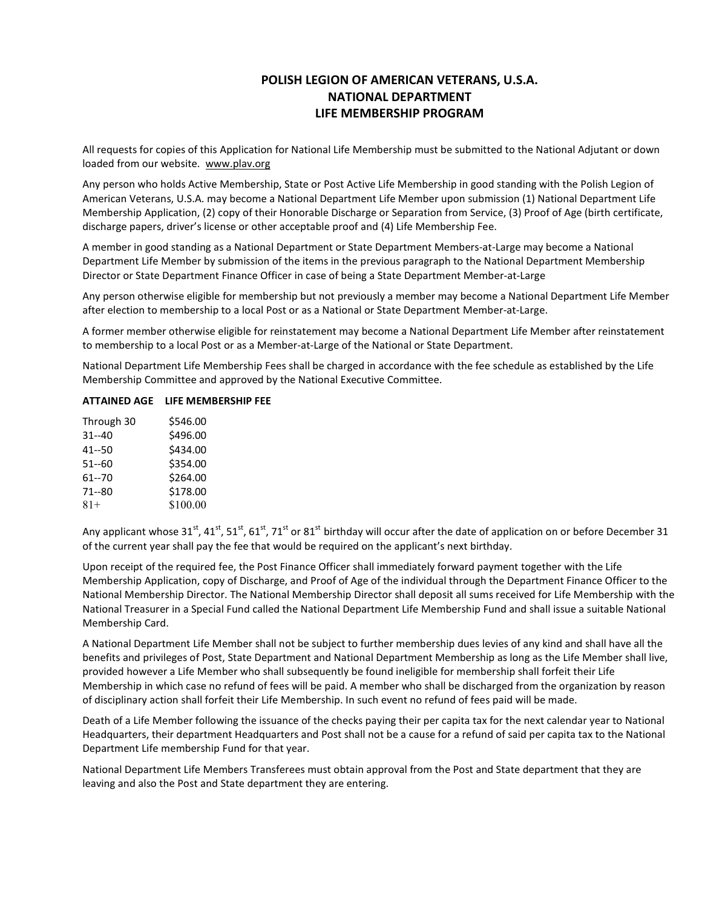### POLISH LEGION OF AMERICAN VETERANS, U.S.A. NATIONAL DEPARTMENT LIFE MEMBERSHIP PROGRAM

All requests for copies of this Application for National Life Membership must be submitted to the National Adjutant or down loaded from our website. www.plav.org

Any person who holds Active Membership, State or Post Active Life Membership in good standing with the Polish Legion of American Veterans, U.S.A. may become a National Department Life Member upon submission (1) National Department Life Membership Application, (2) copy of their Honorable Discharge or Separation from Service, (3) Proof of Age (birth certificate, discharge papers, driver's license or other acceptable proof and (4) Life Membership Fee.

A member in good standing as a National Department or State Department Members-at-Large may become a National Department Life Member by submission of the items in the previous paragraph to the National Department Membership Director or State Department Finance Officer in case of being a State Department Member-at-Large

Any person otherwise eligible for membership but not previously a member may become a National Department Life Member after election to membership to a local Post or as a National or State Department Member-at-Large.

A former member otherwise eligible for reinstatement may become a National Department Life Member after reinstatement to membership to a local Post or as a Member-at-Large of the National or State Department.

National Department Life Membership Fees shall be charged in accordance with the fee schedule as established by the Life Membership Committee and approved by the National Executive Committee.

### ATTAINED AGE LIFE MEMBERSHIP FEE

| Through 30 | \$546.00 |
|------------|----------|
| $31 - 40$  | \$496.00 |
| $41 - 50$  | \$434.00 |
| 51--60     | \$354.00 |
| 61--70     | \$264.00 |
| 71 -- 80   | \$178.00 |
| $81+$      | \$100.00 |

Any applicant whose 31<sup>st</sup>, 41<sup>st</sup>, 51<sup>st</sup>, 61<sup>st</sup>, 71<sup>st</sup> or 81<sup>st</sup> birthday will occur after the date of application on or before December 31 of the current year shall pay the fee that would be required on the applicant's next birthday.

Upon receipt of the required fee, the Post Finance Officer shall immediately forward payment together with the Life Membership Application, copy of Discharge, and Proof of Age of the individual through the Department Finance Officer to the National Membership Director. The National Membership Director shall deposit all sums received for Life Membership with the National Treasurer in a Special Fund called the National Department Life Membership Fund and shall issue a suitable National Membership Card.

A National Department Life Member shall not be subject to further membership dues levies of any kind and shall have all the benefits and privileges of Post, State Department and National Department Membership as long as the Life Member shall live, provided however a Life Member who shall subsequently be found ineligible for membership shall forfeit their Life Membership in which case no refund of fees will be paid. A member who shall be discharged from the organization by reason of disciplinary action shall forfeit their Life Membership. In such event no refund of fees paid will be made.

Death of a Life Member following the issuance of the checks paying their per capita tax for the next calendar year to National Headquarters, their department Headquarters and Post shall not be a cause for a refund of said per capita tax to the National Department Life membership Fund for that year.

National Department Life Members Transferees must obtain approval from the Post and State department that they are leaving and also the Post and State department they are entering.